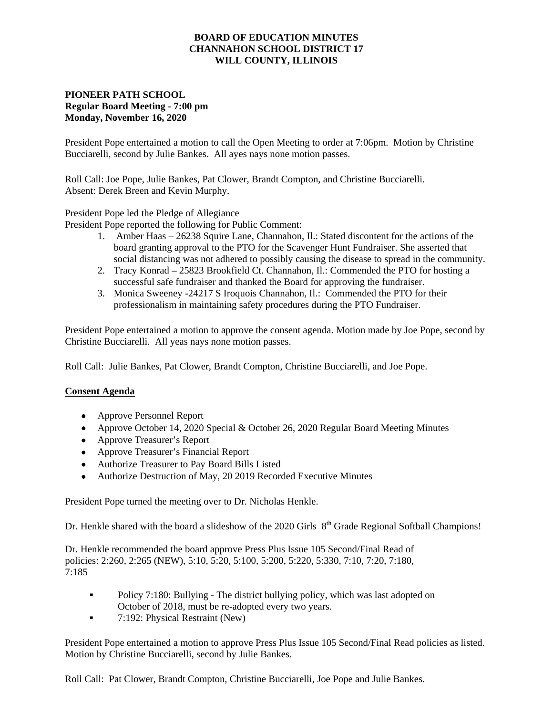### **BOARD OF EDUCATION MINUTES CHANNAHON SCHOOL DISTRICT 17 WILL COUNTY, ILLINOIS**

# **PIONEER PATH SCHOOL Regular Board Meeting - 7:00 pm Monday, November 16, 2020**

President Pope entertained a motion to call the Open Meeting to order at 7:06pm. Motion by Christine Bucciarelli, second by Julie Bankes. All ayes nays none motion passes.

Roll Call: Joe Pope, Julie Bankes, Pat Clower, Brandt Compton, and Christine Bucciarelli. Absent: Derek Breen and Kevin Murphy.

President Pope led the Pledge of Allegiance

President Pope reported the following for Public Comment:

- 1. Amber Haas 26238 Squire Lane, Channahon, Il.: Stated discontent for the actions of the board granting approval to the PTO for the Scavenger Hunt Fundraiser. She asserted that social distancing was not adhered to possibly causing the disease to spread in the community.
- 2. Tracy Konrad 25823 Brookfield Ct. Channahon, Il.: Commended the PTO for hosting a successful safe fundraiser and thanked the Board for approving the fundraiser.
- 3. Monica Sweeney -24217 S Iroquois Channahon, Il.: Commended the PTO for their professionalism in maintaining safety procedures during the PTO Fundraiser.

President Pope entertained a motion to approve the consent agenda. Motion made by Joe Pope, second by Christine Bucciarelli. All yeas nays none motion passes.

Roll Call: Julie Bankes, Pat Clower, Brandt Compton, Christine Bucciarelli, and Joe Pope.

#### **Consent Agenda**

- Approve Personnel Report
- Approve October 14, 2020 Special & October 26, 2020 Regular Board Meeting Minutes
- Approve Treasurer's Report
- Approve Treasurer's Financial Report
- Authorize Treasurer to Pay Board Bills Listed
- Authorize Destruction of May, 20 2019 Recorded Executive Minutes

President Pope turned the meeting over to Dr. Nicholas Henkle.

Dr. Henkle shared with the board a slideshow of the 2020 Girls 8<sup>th</sup> Grade Regional Softball Champions!

Dr. Henkle recommended the board approve Press Plus Issue 105 Second/Final Read of policies: 2:260, 2:265 (NEW), 5:10, 5:20, 5:100, 5:200, 5:220, 5:330, 7:10, 7:20, 7:180, 7:185

- Policy 7:180: Bullying The district bullying policy, which was last adopted on October of 2018, must be re-adopted every two years.
- 7:192: Physical Restraint (New)

President Pope entertained a motion to approve Press Plus Issue 105 Second/Final Read policies as listed. Motion by Christine Bucciarelli, second by Julie Bankes.

Roll Call: Pat Clower, Brandt Compton, Christine Bucciarelli, Joe Pope and Julie Bankes.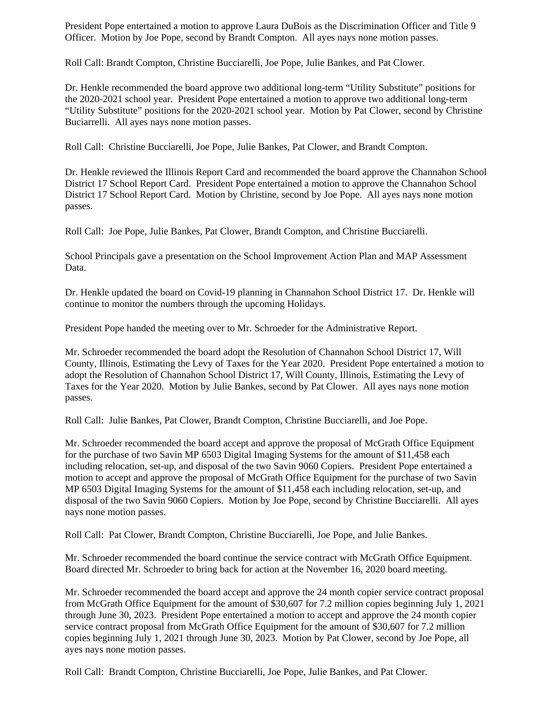President Pope entertained a motion to approve Laura DuBois as the Discrimination Officer and Title 9 Officer. Motion by Joe Pope, second by Brandt Compton. All ayes nays none motion passes.

Roll Call: Brandt Compton, Christine Bucciarelli, Joe Pope, Julie Bankes, and Pat Clower.

Dr. Henkle recommended the board approve two additional long-term "Utility Substitute" positions for the 2020-2021 school year. President Pope entertained a motion to approve two additional long-term "Utility Substitute" positions for the 2020-2021 school year. Motion by Pat Clower, second by Christine Buciarrelli. All ayes nays none motion passes.

Roll Call: Christine Bucciarelli, Joe Pope, Julie Bankes, Pat Clower, and Brandt Compton.

Dr. Henkle reviewed the Illinois Report Card and recommended the board approve the Channahon School District 17 School Report Card. President Pope entertained a motion to approve the Channahon School District 17 School Report Card. Motion by Christine, second by Joe Pope. All ayes nays none motion passes.

Roll Call: Joe Pope, Julie Bankes, Pat Clower, Brandt Compton, and Christine Bucciarelli.

School Principals gave a presentation on the School Improvement Action Plan and MAP Assessment Data.

Dr. Henkle updated the board on Covid-19 planning in Channahon School District 17. Dr. Henkle will continue to monitor the numbers through the upcoming Holidays.

President Pope handed the meeting over to Mr. Schroeder for the Administrative Report.

Mr. Schroeder recommended the board adopt the Resolution of Channahon School District 17, Will County, Illinois, Estimating the Levy of Taxes for the Year 2020. President Pope entertained a motion to adopt the Resolution of Channahon School District 17, Will County, Illinois, Estimating the Levy of Taxes for the Year 2020. Motion by Julie Bankes, second by Pat Clower. All ayes nays none motion passes.

Roll Call: Julie Bankes, Pat Clower, Brandt Compton, Christine Bucciarelli, and Joe Pope.

Mr. Schroeder recommended the board accept and approve the proposal of McGrath Office Equipment for the purchase of two Savin MP 6503 Digital Imaging Systems for the amount of \$11,458 each including relocation, set-up, and disposal of the two Savin 9060 Copiers. President Pope entertained a motion to accept and approve the proposal of McGrath Office Equipment for the purchase of two Savin MP 6503 Digital Imaging Systems for the amount of \$11,458 each including relocation, set-up, and disposal of the two Savin 9060 Copiers. Motion by Joe Pope, second by Christine Bucciarelli. All ayes nays none motion passes.

Roll Call: Pat Clower, Brandt Compton, Christine Bucciarelli, Joe Pope, and Julie Bankes.

Mr. Schroeder recommended the board continue the service contract with McGrath Office Equipment. Board directed Mr. Schroeder to bring back for action at the November 16, 2020 board meeting.

Mr. Schroeder recommended the board accept and approve the 24 month copier service contract proposal from McGrath Office Equipment for the amount of \$30,607 for 7.2 million copies beginning July 1, 2021 through June 30, 2023. President Pope entertained a motion to accept and approve the 24 month copier service contract proposal from McGrath Office Equipment for the amount of \$30,607 for 7.2 million copies beginning July 1, 2021 through June 30, 2023. Motion by Pat Clower, second by Joe Pope, all ayes nays none motion passes.

Roll Call: Brandt Compton, Christine Bucciarelli, Joe Pope, Julie Bankes, and Pat Clower.